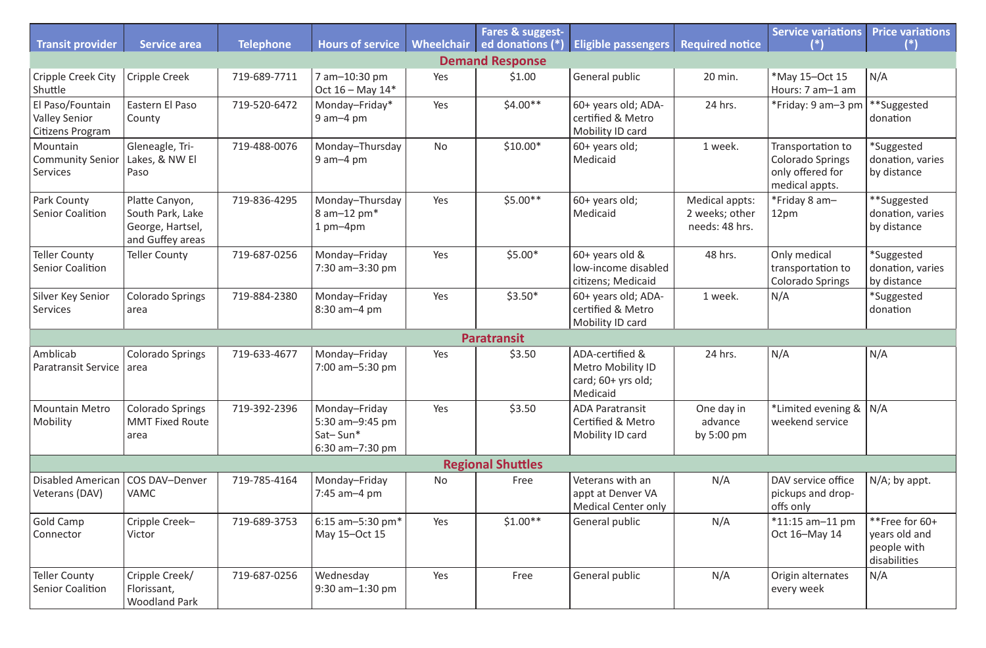| <b>Transit provider</b>                                      | <b>Service area</b>                                                        | <b>Telephone</b> | <b>Hours of service</b>                                         | Wheelchair | Fares & suggest-<br>ed donations (*) | Eligible passengers                                                        | <b>Required notice</b>                             | <b>Service variations</b><br>(*)                                                   | <b>Price variations</b>                                        |  |  |  |  |
|--------------------------------------------------------------|----------------------------------------------------------------------------|------------------|-----------------------------------------------------------------|------------|--------------------------------------|----------------------------------------------------------------------------|----------------------------------------------------|------------------------------------------------------------------------------------|----------------------------------------------------------------|--|--|--|--|
| <b>Demand Response</b>                                       |                                                                            |                  |                                                                 |            |                                      |                                                                            |                                                    |                                                                                    |                                                                |  |  |  |  |
| <b>Cripple Creek City</b><br>Shuttle                         | <b>Cripple Creek</b>                                                       | 719-689-7711     | 7 am-10:30 pm<br>Oct $16 -$ May $14*$                           | Yes        | \$1.00                               | General public                                                             | 20 min.                                            | *May 15-Oct 15<br>Hours: 7 am-1 am                                                 | N/A                                                            |  |  |  |  |
| El Paso/Fountain<br><b>Valley Senior</b><br>Citizens Program | Eastern El Paso<br>County                                                  | 719-520-6472     | Monday-Friday*<br>$9$ am $-4$ pm                                | Yes        | $$4.00**$$                           | 60+ years old; ADA-<br>certified & Metro<br>Mobility ID card               | 24 hrs.                                            | *Friday: 9 am-3 pm                                                                 | **Suggested<br>donation                                        |  |  |  |  |
| Mountain<br><b>Community Senior</b><br>Services              | Gleneagle, Tri-<br>Lakes, & NW El<br>Paso                                  | 719-488-0076     | Monday-Thursday<br>$9$ am $-4$ pm                               | <b>No</b>  | $$10.00*$                            | 60+ years old;<br>Medicaid                                                 | 1 week.                                            | Transportation to<br><b>Colorado Springs</b><br>only offered for<br>medical appts. | *Suggested<br>donation, varies<br>by distance                  |  |  |  |  |
| Park County<br><b>Senior Coalition</b>                       | Platte Canyon,<br>South Park, Lake<br>George, Hartsel,<br>and Guffey areas | 719-836-4295     | Monday-Thursday<br>8 am-12 pm <sup>*</sup><br>$1$ pm $-4$ pm    | Yes        | $$5.00**$$                           | 60+ years old;<br>Medicaid                                                 | Medical appts:<br>2 weeks; other<br>needs: 48 hrs. | *Friday 8 am-<br>12pm                                                              | **Suggested<br>donation, varies<br>by distance                 |  |  |  |  |
| <b>Teller County</b><br><b>Senior Coalition</b>              | <b>Teller County</b>                                                       | 719-687-0256     | Monday-Friday<br>$7:30$ am $-3:30$ pm                           | Yes        | $$5.00*$                             | $60+$ years old &<br>low-income disabled<br>citizens; Medicaid             | 48 hrs.                                            | Only medical<br>transportation to<br><b>Colorado Springs</b>                       | *Suggested<br>donation, varies<br>by distance                  |  |  |  |  |
| Silver Key Senior<br>Services                                | <b>Colorado Springs</b><br>area                                            | 719-884-2380     | Monday-Friday<br>8:30 am-4 pm                                   | Yes        | $$3.50*$                             | 60+ years old; ADA-<br>certified & Metro<br>Mobility ID card               | 1 week.                                            | N/A                                                                                | *Suggested<br>donation                                         |  |  |  |  |
|                                                              |                                                                            |                  |                                                                 |            | <b>Paratransit</b>                   |                                                                            |                                                    |                                                                                    |                                                                |  |  |  |  |
| Amblicab<br><b>Paratransit Service</b>                       | <b>Colorado Springs</b><br>area                                            | 719-633-4677     | Monday-Friday<br>7:00 am-5:30 pm                                | Yes        | \$3.50                               | ADA-certified &<br>Metro Mobility ID<br>card; 60+ yrs old;<br>Medicaid     | 24 hrs.                                            | N/A                                                                                | N/A                                                            |  |  |  |  |
| <b>Mountain Metro</b><br>Mobility                            | <b>Colorado Springs</b><br><b>MMT Fixed Route</b><br>area                  | 719-392-2396     | Monday-Friday<br>5:30 am-9:45 pm<br>Sat-Sun*<br>6:30 am-7:30 pm | Yes        | \$3.50                               | <b>ADA Paratransit</b><br><b>Certified &amp; Metro</b><br>Mobility ID card | One day in<br>advance<br>by $5:00 \text{ pm}$      | *Limited evening &   N/A<br>weekend service                                        |                                                                |  |  |  |  |
|                                                              |                                                                            |                  |                                                                 |            | <b>Regional Shuttles</b>             |                                                                            |                                                    |                                                                                    |                                                                |  |  |  |  |
| <b>Disabled American</b><br>Veterans (DAV)                   | COS DAV-Denver<br><b>VAMC</b>                                              | 719-785-4164     | Monday-Friday<br>$7:45$ am $-4$ pm                              | <b>No</b>  | Free                                 | Veterans with an<br>appt at Denver VA<br><b>Medical Center only</b>        | N/A                                                | DAV service office<br>pickups and drop-<br>offs only                               | $N/A$ ; by appt.                                               |  |  |  |  |
| <b>Gold Camp</b><br>Connector                                | Cripple Creek-<br>Victor                                                   | 719-689-3753     | 6:15 am-5:30 pm $*$<br>May 15-Oct 15                            | Yes        | $$1.00**$$                           | General public                                                             | N/A                                                | $*11:15$ am-11 pm<br>Oct 16-May 14                                                 | **Free for 60+<br>years old and<br>people with<br>disabilities |  |  |  |  |
| <b>Teller County</b><br><b>Senior Coalition</b>              | Cripple Creek/<br>Florissant,<br><b>Woodland Park</b>                      | 719-687-0256     | Wednesday<br>$9:30$ am $-1:30$ pm                               | Yes        | Free                                 | General public                                                             | N/A                                                | Origin alternates<br>every week                                                    | N/A                                                            |  |  |  |  |